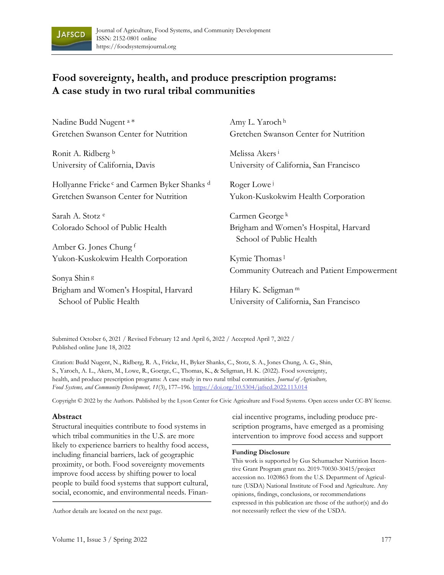

# **Food sovereignty, health, and produce prescription programs: A case study in two rural tribal communities**

| Nadine Budd Nugent <sup>a*</sup>                                   | Amy L. Yaroch <sup>h</sup>                                       |
|--------------------------------------------------------------------|------------------------------------------------------------------|
| Gretchen Swanson Center for Nutrition                              | Gretchen Swanson Center for Nutrition                            |
| Ronit A. Ridberg b                                                 | Melissa Akers <sup>i</sup>                                       |
| University of California, Davis                                    | University of California, San Francisco                          |
| Hollyanne Fricke <sup>c</sup> and Carmen Byker Shanks <sup>d</sup> | Roger Lowe                                                       |
| Gretchen Swanson Center for Nutrition                              | Yukon-Kuskokwim Health Corporation                               |
| Sarah A. Stotz <sup>e</sup>                                        | Carmen George <sup>k</sup>                                       |
| Colorado School of Public Health                                   | Brigham and Women's Hospital, Harvard<br>School of Public Health |
| Amber G. Jones Chung f                                             |                                                                  |
| Yukon-Kuskokwim Health Corporation                                 | Kymie Thomas <sup>1</sup>                                        |
| Sonya Shin <sup>g</sup>                                            | Community Outreach and Patient Empowerment                       |
| Brigham and Women's Hospital, Harvard                              | Hilary K. Seligman <sup>m</sup>                                  |
| School of Public Health                                            | University of California, San Francisco                          |

Submitted October 6, 2021 / Revised February 12 and April 6, 2022 / Accepted April 7, 2022 / Published online June 18, 2022

Citation: Budd Nugent, N., Ridberg, R. A., Fricke, H., Byker Shanks, C., Stotz, S. A., Jones Chung, A. G., Shin, S., Yaroch, A. L., Akers, M., Lowe, R., Goerge, C., Thomas, K., & Seligman, H. K. (2022). Food sovereignty, health, and produce prescription programs: A case study in two rural tribal communities. *Journal of Agriculture, Food Systems, and Community Development, 11*(3), 177–196. <https://doi.org/10.5304/jafscd.2022.113.014>

Copyright © 2022 by the Authors. Published by the Lyson Center for Civic Agriculture and Food Systems. Open access under CC-BY license.

#### **Abstract**

Structural inequities contribute to food systems in which tribal communities in the U.S. are more likely to experience barriers to healthy food access, including financial barriers, lack of geographic proximity, or both. Food sovereignty movements improve food access by shifting power to local people to build food systems that support cultural, social, economic, and environmental needs. Finan-

cial incentive programs, including produce prescription programs, have emerged as a promising intervention to improve food access and support

#### **Funding Disclosure**

This work is supported by Gus Schumacher Nutrition Incentive Grant Program grant no. 2019-70030-30415/project accession no. 1020863 from the U.S. Department of Agriculture (USDA) National Institute of Food and Agriculture. Any opinions, findings, conclusions, or recommendations expressed in this publication are those of the author(s) and do Author details are located on the next page. not necessarily reflect the view of the USDA.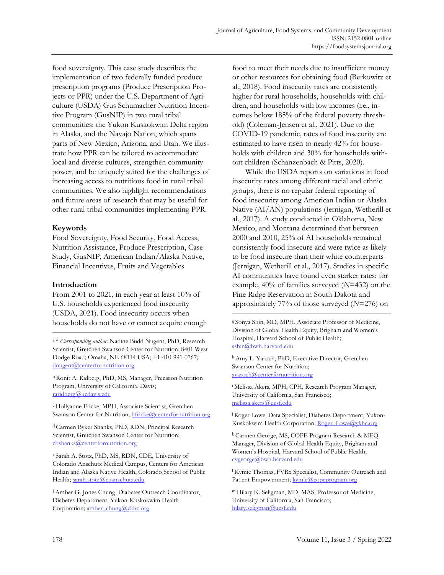food sovereignty. This case study describes the implementation of two federally funded produce prescription programs (Produce Prescription Projects or PPR) under the U.S. Department of Agriculture (USDA) Gus Schumacher Nutrition Incentive Program (GusNIP) in two rural tribal communities: the Yukon Kuskokwim Delta region in Alaska, and the Navajo Nation, which spans parts of New Mexico, Arizona, and Utah. We illustrate how PPR can be tailored to accommodate local and diverse cultures, strengthen community power, and be uniquely suited for the challenges of increasing access to nutritious food in rural tribal communities. We also highlight recommendations and future areas of research that may be useful for other rural tribal communities implementing PPR.

#### **Keywords**

Food Sovereignty, Food Security, Food Access, Nutrition Assistance, Produce Prescription, Case Study, GusNIP, American Indian/Alaska Native, Financial Incentives, Fruits and Vegetables

#### **Introduction**

From 2001 to 2021, in each year at least 10% of U.S. households experienced food insecurity (USDA, 2021). Food insecurity occurs when households do not have or cannot acquire enough

<sup>a</sup>\* *Corresponding author:* Nadine Budd Nugent, PhD, Research Scientist, Gretchen Swanson Center for Nutrition; 8401 West Dodge Road; Omaha, NE 68114 USA; +1-410-991-0767; [dnugent@centerfornutrition.org](mailto:dnugent@centerfornutrition.org)

<sup>b</sup> Ronit A. Ridberg, PhD, MS, Manager, Precision Nutrition Program, University of California, Davis; [raridberg@ucdavis.edu](mailto:raridberg@ucdavis.edu)

<sup>c</sup>Hollyanne Fricke, MPH, Associate Scientist, Gretchen Swanson Center for Nutrition[; hfricke@centerfornutrition.org](mailto:hfricke@centerfornutrition.org)

<sup>d</sup> Carmen Byker Shanks, PhD, RDN, Principal Research Scientist, Gretchen Swanson Center for Nutrition; [cbshanks@centerfornutrition.org](mailto:cbshanks@centerfornutrition.org)

e Sarah A. Stotz, PhD, MS, RDN, CDE, University of Colorado Anschutz Medical Campus, Centers for American Indian and Alaska Native Health, Colorado School of Public Health[; sarah.stotz@cuanschutz.edu](mailto:sarah.stotz@cuanschutz.edu)

<sup>f</sup>Amber G. Jones Chung, Diabetes Outreach Coordinator, Diabetes Department, Yukon-Kuskokwim Health Corporation[; amber\\_chung@ykhc.org](mailto:amber_chung@ykhc.org)

food to meet their needs due to insufficient money or other resources for obtaining food (Berkowitz et al., 2018). Food insecurity rates are consistently higher for rural households, households with children, and households with low incomes (i.e., incomes below 185% of the federal poverty threshold) (Coleman-Jensen et al., 2021). Due to the COVID-19 pandemic, rates of food insecurity are estimated to have risen to nearly 42% for households with children and 30% for households without children (Schanzenbach & Pitts, 2020).

While the USDA reports on variations in food insecurity rates among different racial and ethnic groups, there is no regular federal reporting of food insecurity among American Indian or Alaska Native (AI/AN) populations (Jernigan, Wetherill et al., 2017). A study conducted in Oklahoma, New Mexico, and Montana determined that between 2000 and 2010, 25% of AI households remained consistently food insecure and were twice as likely to be food insecure than their white counterparts (Jernigan, Wetherill et al., 2017). Studies in specific AI communities have found even starker rates: for example, 40% of families surveyed (*N*=432) on the Pine Ridge Reservation in South Dakota and approximately 77% of those surveyed (*N*=276) on

g Sonya Shin, MD, MPH, Associate Professor of Medicine, Division of Global Health Equity, Brigham and Women's Hospital, Harvard School of Public Health; [sshin@bwh.harvard.edu](mailto:sshin@bwh.harvard.edu)

h Amy L. Yaroch, PhD, Executive Director, Gretchen Swanson Center for Nutrition; [ayaroch@centerfornutrition.org](mailto:ayaroch@centerfornutrition.org)

<sup>i</sup> Melissa Akers, MPH, CPH, Research Program Manager, University of California, San Francisco; [melissa.akers@ucsf.edu](mailto:melissa.akers@ucsf.edu)

j Roger Lowe, Data Specialist, Diabetes Department, Yukon-Kuskokwim Health Corporation[; Roger\\_Lowe@ykhc.org](mailto:Roger_Lowe@ykhc.org)

k Carmen George, MS, COPE Program Research & MEQ Manager, Division of Global Health Equity, Brigham and Women's Hospital, Harvard School of Public Health; [cvgeorge@bwh.harvard.edu](mailto:cvgeorge@bwh.harvard.edu)

<sup>1</sup> Kymie Thomas, FVRx Specialist, Community Outreach and Patient Empowerment[; kymie@copeprogram.org](mailto:kymie@copeprogram.org)

<sup>m</sup>Hilary K. Seligman, MD, MAS, Professor of Medicine, University of California, San Francisco; [hilary.seligman@ucsf.edu](mailto:hilary.seligman@ucsf.edu)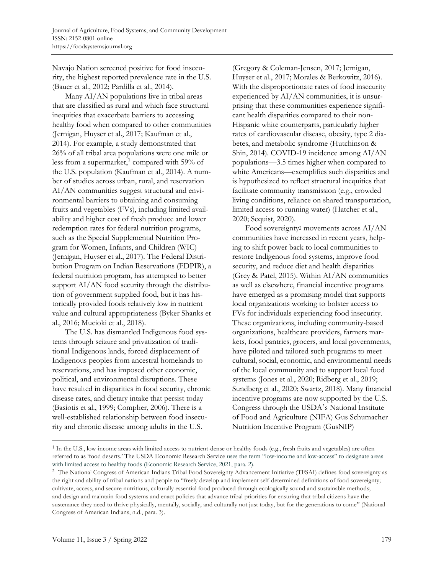Navajo Nation screened positive for food insecurity, the highest reported prevalence rate in the U.S. (Bauer et al., 2012; Pardilla et al., 2014).

Many AI/AN populations live in tribal areas that are classified as rural and which face structural inequities that exacerbate barriers to accessing healthy food when compared to other communities (Jernigan, Huyser et al., 2017; Kaufman et al., 2014). For example, a study demonstrated that 26% of all tribal area populations were one mile or less from a supermarket,<sup>1</sup> compared with 59% of the U.S. population (Kaufman et al., 2014). A number of studies across urban, rural, and reservation AI/AN communities suggest structural and environmental barriers to obtaining and consuming fruits and vegetables (FVs), including limited availability and higher cost of fresh produce and lower redemption rates for federal nutrition programs, such as the Special Supplemental Nutrition Program for Women, Infants, and Children (WIC) (Jernigan, Huyser et al., 2017). The Federal Distribution Program on Indian Reservations (FDPIR), a federal nutrition program, has attempted to better support AI/AN food security through the distribution of government supplied food, but it has historically provided foods relatively low in nutrient value and cultural appropriateness (Byker Shanks et al., 2016; Mucioki et al., 2018).

The U.S. has dismantled Indigenous food systems through seizure and privatization of traditional Indigenous lands, forced displacement of Indigenous peoples from ancestral homelands to reservations, and has imposed other economic, political, and environmental disruptions. These have resulted in disparities in food security, chronic disease rates, and dietary intake that persist today (Basiotis et al., 1999; Compher, 2006). There is a well-established relationship between food insecurity and chronic disease among adults in the U.S.

(Gregory & Coleman-Jensen, 2017; Jernigan, Huyser et al., 2017; Morales & Berkowitz, 2016). With the disproportionate rates of food insecurity experienced by AI/AN communities, it is unsurprising that these communities experience significant health disparities compared to their non-Hispanic white counterparts, particularly higher rates of cardiovascular disease, obesity, type 2 diabetes, and metabolic syndrome (Hutchinson & Shin, 2014). COVID-19 incidence among AI/AN populations—3.5 times higher when compared to white Americans—exemplifies such disparities and is hypothesized to reflect structural inequities that facilitate community transmission (e.g., crowded living conditions, reliance on shared transportation, limited access to running water) (Hatcher et al., 2020; Sequist, 2020).

Food sovereignty<sup>2</sup> movements across AI/AN communities have increased in recent years, helping to shift power back to local communities to restore Indigenous food systems, improve food security, and reduce diet and health disparities (Grey & Patel, 2015). Within AI/AN communities as well as elsewhere, financial incentive programs have emerged as a promising model that supports local organizations working to bolster access to FVs for individuals experiencing food insecurity. These organizations, including community-based organizations, healthcare providers, farmers markets, food pantries, grocers, and local governments, have piloted and tailored such programs to meet cultural, social, economic, and environmental needs of the local community and to support local food systems (Jones et al., 2020; Ridberg et al., 2019; Sundberg et al., 2020; Swartz, 2018). Many financial incentive programs are now supported by the U.S. Congress through the USDA's National Institute of Food and Agriculture (NIFA) Gus Schumacher Nutrition Incentive Program (GusNIP)

<sup>&</sup>lt;sup>1</sup> In the U.S., low-income areas with limited access to nutrient-dense or healthy foods (e.g., fresh fruits and vegetables) are often referred to as 'food deserts.' The USDA Economic Research Service uses the term "low-income and low-access" to designate areas with limited access to healthy foods (Economic Research Service, 2021, para. 2).

<sup>2</sup> The National Congress of American Indians Tribal Food Sovereignty Advancement Initiative (TFSAI) defines food sovereignty as the right and ability of tribal nations and people to "freely develop and implement self-determined definitions of food sovereignty; cultivate, access, and secure nutritious, culturally essential food produced through ecologically sound and sustainable methods; and design and maintain food systems and enact policies that advance tribal priorities for ensuring that tribal citizens have the sustenance they need to thrive physically, mentally, socially, and culturally not just today, but for the generations to come" (National Congress of American Indians, n.d., para. 3).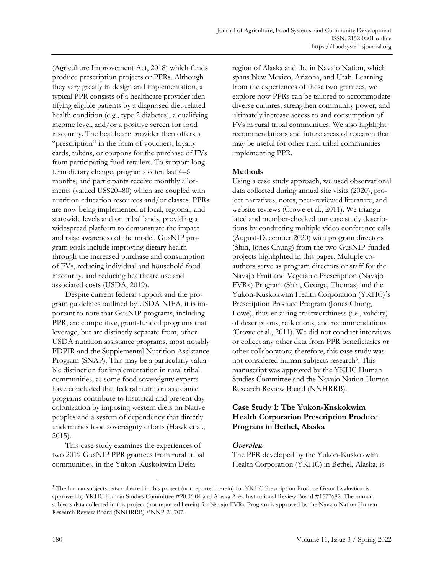(Agriculture Improvement Act, 2018) which funds produce prescription projects or PPRs. Although they vary greatly in design and implementation, a typical PPR consists of a healthcare provider identifying eligible patients by a diagnosed diet-related health condition (e.g., type 2 diabetes), a qualifying income level, and/or a positive screen for food insecurity. The healthcare provider then offers a "prescription" in the form of vouchers, loyalty cards, tokens, or coupons for the purchase of FVs from participating food retailers. To support longterm dietary change, programs often last 4–6 months, and participants receive monthly allotments (valued US\$20–80) which are coupled with nutrition education resources and/or classes. PPRs are now being implemented at local, regional, and statewide levels and on tribal lands, providing a widespread platform to demonstrate the impact and raise awareness of the model. GusNIP program goals include improving dietary health through the increased purchase and consumption of FVs, reducing individual and household food insecurity, and reducing healthcare use and associated costs (USDA, 2019).

Despite current federal support and the program guidelines outlined by USDA NIFA, it is important to note that GusNIP programs, including PPR, are competitive, grant-funded programs that leverage, but are distinctly separate from, other USDA nutrition assistance programs, most notably FDPIR and the Supplemental Nutrition Assistance Program (SNAP). This may be a particularly valuable distinction for implementation in rural tribal communities, as some food sovereignty experts have concluded that federal nutrition assistance programs contribute to historical and present-day colonization by imposing western diets on Native peoples and a system of dependency that directly undermines food sovereignty efforts (Hawk et al., 2015).

This case study examines the experiences of two 2019 GusNIP PPR grantees from rural tribal communities, in the Yukon-Kuskokwim Delta

region of Alaska and the in Navajo Nation, which spans New Mexico, Arizona, and Utah. Learning from the experiences of these two grantees, we explore how PPRs can be tailored to accommodate diverse cultures, strengthen community power, and ultimately increase access to and consumption of FVs in rural tribal communities. We also highlight recommendations and future areas of research that may be useful for other rural tribal communities implementing PPR.

#### **Methods**

Using a case study approach, we used observational data collected during annual site visits (2020), project narratives, notes, peer-reviewed literature, and website reviews (Crowe et al., 2011). We triangulated and member-checked our case study descriptions by conducting multiple video conference calls (August-December 2020) with program directors (Shin, Jones Chung) from the two GusNIP-funded projects highlighted in this paper. Multiple coauthors serve as program directors or staff for the Navajo Fruit and Vegetable Prescription (Navajo FVRx) Program (Shin, George, Thomas) and the Yukon-Kuskokwim Health Corporation (YKHC)'s Prescription Produce Program (Jones Chung, Lowe), thus ensuring trustworthiness (i.e., validity) of descriptions, reflections, and recommendations (Crowe et al., 2011). We did not conduct interviews or collect any other data from PPR beneficiaries or other collaborators; therefore, this case study was not considered human subjects research<sup>3</sup> . This manuscript was approved by the YKHC Human Studies Committee and the Navajo Nation Human Research Review Board (NNHRRB).

#### **Case Study 1: The Yukon-Kuskokwim Health Corporation Prescription Produce Program in Bethel, Alaska**

#### Overview

The PPR developed by the Yukon-Kuskokwim Health Corporation (YKHC) in Bethel, Alaska, is

<sup>&</sup>lt;sup>3</sup> The human subjects data collected in this project (not reported herein) for YKHC Prescription Produce Grant Evaluation is approved by YKHC Human Studies Committee #20.06.04 and Alaska Area Institutional Review Board #1577682. The human subjects data collected in this project (not reported herein) for Navajo FVRx Program is approved by the Navajo Nation Human Research Review Board (NNHRRB) #NNP-21.707.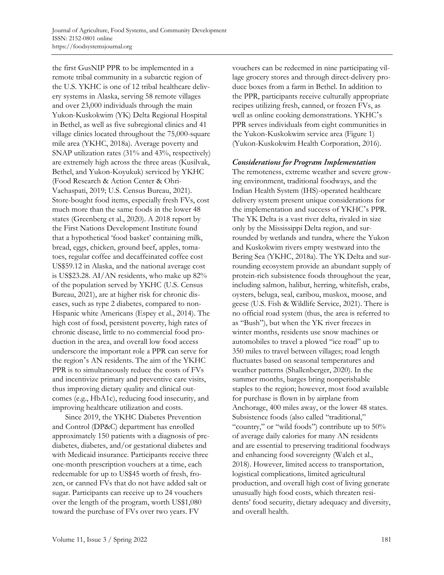the first GusNIP PPR to be implemented in a remote tribal community in a subarctic region of the U.S. YKHC is one of 12 tribal healthcare delivery systems in Alaska, serving 58 remote villages and over 23,000 individuals through the main Yukon-Kuskokwim (YK) Delta Regional Hospital in Bethel, as well as five subregional clinics and 41 village clinics located throughout the 75,000-square mile area (YKHC, 2018a). Average poverty and SNAP utilization rates (31% and 43%, respectively) are extremely high across the three areas (Kusilvak, Bethel, and Yukon-Koyukuk) serviced by YKHC (Food Research & Action Center & Ohri-Vachaspati, 2019; U.S. Census Bureau, 2021). Store-bought food items, especially fresh FVs, cost much more than the same foods in the lower 48 states (Greenberg et al., 2020). A 2018 report by the First Nations Development Institute found that a hypothetical 'food basket' containing milk, bread, eggs, chicken, ground beef, apples, tomatoes, regular coffee and decaffeinated coffee cost US\$59.12 in Alaska, and the national average cost is US\$23.28. AI/AN residents, who make up 82% of the population served by YKHC (U.S. Census Bureau, 2021), are at higher risk for chronic diseases, such as type 2 diabetes, compared to non-Hispanic white Americans (Espey et al., 2014). The high cost of food, persistent poverty, high rates of chronic disease, little to no commercial food production in the area, and overall low food access underscore the important role a PPR can serve for the region's AN residents. The aim of the YKHC PPR is to simultaneously reduce the costs of FVs and incentivize primary and preventive care visits, thus improving dietary quality and clinical outcomes (e.g., HbA1c), reducing food insecurity, and improving healthcare utilization and costs.

Since 2019, the YKHC Diabetes Prevention and Control (DP&C) department has enrolled approximately 150 patients with a diagnosis of prediabetes, diabetes, and/or gestational diabetes and with Medicaid insurance. Participants receive three one-month prescription vouchers at a time, each redeemable for up to US\$45 worth of fresh, frozen, or canned FVs that do not have added salt or sugar. Participants can receive up to 24 vouchers over the length of the program, worth US\$1,080 toward the purchase of FVs over two years. FV

vouchers can be redeemed in nine participating village grocery stores and through direct-delivery produce boxes from a farm in Bethel. In addition to the PPR, participants receive culturally appropriate recipes utilizing fresh, canned, or frozen FVs, as well as online cooking demonstrations. YKHC's PPR serves individuals from eight communities in the Yukon-Kuskokwim service area (Figure 1) (Yukon-Kuskokwim Health Corporation, 2016).

#### **Considerations for Program Implementation**

The remoteness, extreme weather and severe growing environment, traditional foodways, and the Indian Health System (IHS)-operated healthcare delivery system present unique considerations for the implementation and success of YKHC's PPR. The YK Delta is a vast river delta, rivaled in size only by the Mississippi Delta region, and surrounded by wetlands and tundra, where the Yukon and Kuskokwim rivers empty westward into the Bering Sea (YKHC, 2018a). The YK Delta and surrounding ecosystem provide an abundant supply of protein-rich subsistence foods throughout the year, including salmon, halibut, herring, whitefish, crabs, oysters, beluga, seal, caribou, muskox, moose, and geese (U.S. Fish & Wildlife Service, 2021). There is no official road system (thus, the area is referred to as "Bush"), but when the YK river freezes in winter months, residents use snow machines or automobiles to travel a plowed "ice road" up to 350 miles to travel between villages; road length fluctuates based on seasonal temperatures and weather patterns (Shallenberger, 2020). In the summer months, barges bring nonperishable staples to the region; however, most food available for purchase is flown in by airplane from Anchorage, 400 miles away, or the lower 48 states. Subsistence foods (also called "traditional," "country," or "wild foods") contribute up to 50% of average daily calories for many AN residents and are essential to preserving traditional foodways and enhancing food sovereignty (Walch et al., 2018). However, limited access to transportation, logistical complications, limited agricultural production, and overall high cost of living generate unusually high food costs, which threaten residents' food security, dietary adequacy and diversity, and overall health.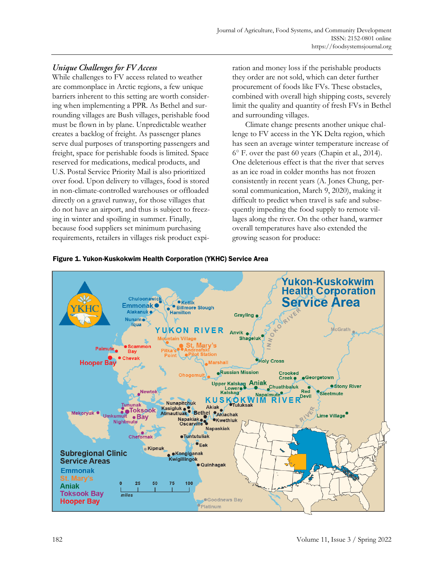# **Unique Challenges for FV Access**

While challenges to FV access related to weather are commonplace in Arctic regions, a few unique barriers inherent to this setting are worth considering when implementing a PPR. As Bethel and surrounding villages are Bush villages, perishable food must be flown in by plane. Unpredictable weather creates a backlog of freight. As passenger planes serve dual purposes of transporting passengers and freight, space for perishable foods is limited. Space reserved for medications, medical products, and U.S. Postal Service Priority Mail is also prioritized over food. Upon delivery to villages, food is stored in non-climate-controlled warehouses or offloaded directly on a gravel runway, for those villages that do not have an airport, and thus is subject to freezing in winter and spoiling in summer. Finally, because food suppliers set minimum purchasing requirements, retailers in villages risk product expiration and money loss if the perishable products they order are not sold, which can deter further procurement of foods like FVs. These obstacles, combined with overall high shipping costs, severely limit the quality and quantity of fresh FVs in Bethel and surrounding villages.

Climate change presents another unique challenge to FV access in the YK Delta region, which has seen an average winter temperature increase of 6° F. over the past 60 years (Chapin et al., 2014). One deleterious effect is that the river that serves as an ice road in colder months has not frozen consistently in recent years (A. Jones Chung, personal communication, March 9, 2020), making it difficult to predict when travel is safe and subsequently impeding the food supply to remote villages along the river. On the other hand, warmer overall temperatures have also extended the growing season for produce:



Figure 1. Yukon-Kuskokwim Health Corporation (YKHC) Service Area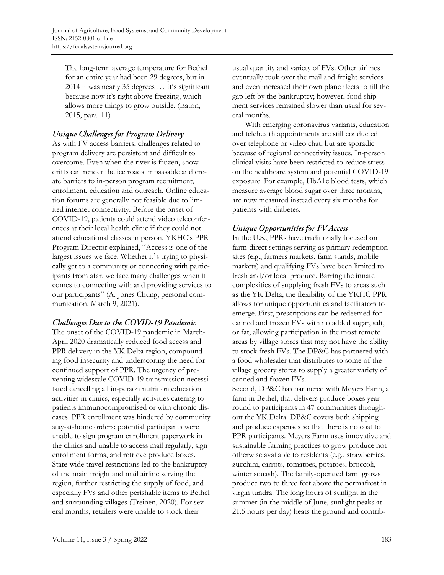The long-term average temperature for Bethel for an entire year had been 29 degrees, but in 2014 it was nearly 35 degrees … It's significant because now it's right above freezing, which allows more things to grow outside. (Eaton, 2015, para. 11)

# Unique Challenges for Program Delivery

As with FV access barriers, challenges related to program delivery are persistent and difficult to overcome. Even when the river is frozen, snow drifts can render the ice roads impassable and create barriers to in-person program recruitment, enrollment, education and outreach. Online education forums are generally not feasible due to limited internet connectivity. Before the onset of COVID-19, patients could attend video teleconferences at their local health clinic if they could not attend educational classes in person. YKHC's PPR Program Director explained, "Access is one of the largest issues we face. Whether it's trying to physically get to a community or connecting with participants from afar, we face many challenges when it comes to connecting with and providing services to our participants" (A. Jones Chung, personal communication, March 9, 2021).

# Challenges Due to the COVID-19 Pandemic

The onset of the COVID-19 pandemic in March-April 2020 dramatically reduced food access and PPR delivery in the YK Delta region, compounding food insecurity and underscoring the need for continued support of PPR. The urgency of preventing widescale COVID-19 transmission necessitated cancelling all in-person nutrition education activities in clinics, especially activities catering to patients immunocompromised or with chronic diseases. PPR enrollment was hindered by community stay-at-home orders: potential participants were unable to sign program enrollment paperwork in the clinics and unable to access mail regularly, sign enrollment forms, and retrieve produce boxes. State-wide travel restrictions led to the bankruptcy of the main freight and mail airline serving the region, further restricting the supply of food, and especially FVs and other perishable items to Bethel and surrounding villages (Treinen, 2020). For several months, retailers were unable to stock their

usual quantity and variety of FVs. Other airlines eventually took over the mail and freight services and even increased their own plane fleets to fill the gap left by the bankruptcy; however, food shipment services remained slower than usual for several months.

With emerging coronavirus variants, education and telehealth appointments are still conducted over telephone or video chat, but are sporadic because of regional connectivity issues. In-person clinical visits have been restricted to reduce stress on the healthcare system and potential COVID-19 exposure. For example, HbA1c blood tests, which measure average blood sugar over three months, are now measured instead every six months for patients with diabetes.

# **Unique Opportunities for FV Access**

In the U.S., PPRs have traditionally focused on farm-direct settings serving as primary redemption sites (e.g., farmers markets, farm stands, mobile markets) and qualifying FVs have been limited to fresh and/or local produce. Barring the innate complexities of supplying fresh FVs to areas such as the YK Delta, the flexibility of the YKHC PPR allows for unique opportunities and facilitators to emerge. First, prescriptions can be redeemed for canned and frozen FVs with no added sugar, salt, or fat, allowing participation in the most remote areas by village stores that may not have the ability to stock fresh FVs. The DP&C has partnered with a food wholesaler that distributes to some of the village grocery stores to supply a greater variety of canned and frozen FVs.

Second, DP&C has partnered with Meyers Farm, a farm in Bethel, that delivers produce boxes yearround to participants in 47 communities throughout the YK Delta. DP&C covers both shipping and produce expenses so that there is no cost to PPR participants. Meyers Farm uses innovative and sustainable farming practices to grow produce not otherwise available to residents (e.g., strawberries, zucchini, carrots, tomatoes, potatoes, broccoli, winter squash). The family-operated farm grows produce two to three feet above the permafrost in virgin tundra. The long hours of sunlight in the summer (in the middle of June, sunlight peaks at 21.5 hours per day) heats the ground and contrib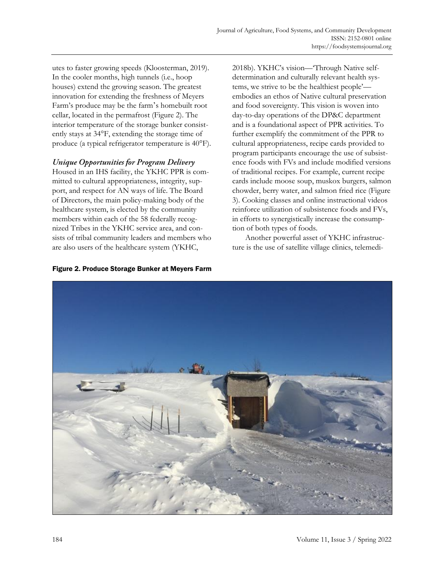utes to faster growing speeds (Kloosterman, 2019). In the cooler months, high tunnels (i.e., hoop houses) extend the growing season. The greatest innovation for extending the freshness of Meyers Farm's produce may be the farm's homebuilt root cellar, located in the permafrost (Figure 2). The interior temperature of the storage bunker consistently stays at 34°F, extending the storage time of produce (a typical refrigerator temperature is 40°F).

# Unique Opportunities for Program Delivery

Housed in an IHS facility, the YKHC PPR is committed to cultural appropriateness, integrity, support, and respect for AN ways of life. The Board of Directors, the main policy-making body of the healthcare system, is elected by the community members within each of the 58 federally recognized Tribes in the YKHC service area, and consists of tribal community leaders and members who are also users of the healthcare system (YKHC,

2018b). YKHC's vision—'Through Native selfdetermination and culturally relevant health systems, we strive to be the healthiest people' embodies an ethos of Native cultural preservation and food sovereignty. This vision is woven into day-to-day operations of the DP&C department and is a foundational aspect of PPR activities. To further exemplify the commitment of the PPR to cultural appropriateness, recipe cards provided to program participants encourage the use of subsistence foods with FVs and include modified versions of traditional recipes. For example, current recipe cards include moose soup, muskox burgers, salmon chowder, berry water, and salmon fried rice (Figure 3). Cooking classes and online instructional videos reinforce utilization of subsistence foods and FVs, in efforts to synergistically increase the consumption of both types of foods.

Another powerful asset of YKHC infrastructure is the use of satellite village clinics, telemedi-



#### Figure 2. Produce Storage Bunker at Meyers Farm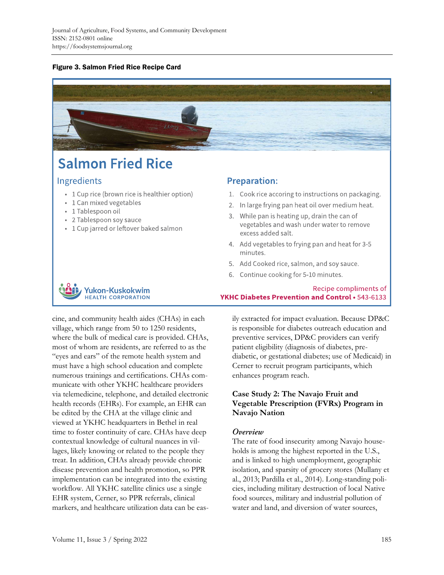#### Figure 3. Salmon Fried Rice Recipe Card



# **Salmon Fried Rice**

# **Ingredients**

- 1 Cup rice (brown rice is healthier option)
- 1 Can mixed vegetables
- 1 Tablespoon oil
- 2 Tablespoon soy sauce
- 1 Cup jarred or leftover baked salmon

# **Preparation:**

- 1. Cook rice accoring to instructions on packaging.
- 2. In large frying pan heat oil over medium heat.
- 3. While pan is heating up, drain the can of vegetables and wash under water to remove excess added salt.
- 4. Add vegetables to frying pan and heat for 3-5 minutes.

YKHC Diabetes Prevention and Control . 543-6133

- 5. Add Cooked rice, salmon, and soy sauce.
- 6. Continue cooking for 5-10 minutes.

# Yukon-Kuskokwim **HEALTH CORPORATION**

cine, and community health aides (CHAs) in each village, which range from 50 to 1250 residents, where the bulk of medical care is provided. CHAs, most of whom are residents, are referred to as the "eyes and ears" of the remote health system and must have a high school education and complete numerous trainings and certifications. CHAs communicate with other YKHC healthcare providers via telemedicine, telephone, and detailed electronic health records (EHRs). For example, an EHR can be edited by the CHA at the village clinic and viewed at YKHC headquarters in Bethel in real time to foster continuity of care. CHAs have deep contextual knowledge of cultural nuances in villages, likely knowing or related to the people they treat. In addition, CHAs already provide chronic disease prevention and health promotion, so PPR implementation can be integrated into the existing workflow. All YKHC satellite clinics use a single EHR system, Cerner, so PPR referrals, clinical markers, and healthcare utilization data can be easily extracted for impact evaluation. Because DP&C is responsible for diabetes outreach education and preventive services, DP&C providers can verify patient eligibility (diagnosis of diabetes, prediabetic, or gestational diabetes; use of Medicaid) in Cerner to recruit program participants, which enhances program reach.

Recipe compliments of

# **Case Study 2: The Navajo Fruit and Vegetable Prescription (FVRx) Program in Navajo Nation**

# Overview

The rate of food insecurity among Navajo households is among the highest reported in the U.S., and is linked to high unemployment, geographic isolation, and sparsity of grocery stores (Mullany et al., 2013; Pardilla et al., 2014). Long-standing policies, including military destruction of local Native food sources, military and industrial pollution of water and land, and diversion of water sources,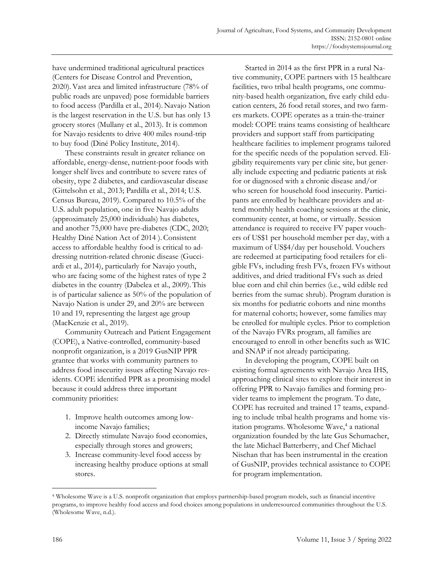have undermined traditional agricultural practices (Centers for Disease Control and Prevention, 2020).Vast area and limited infrastructure (78% of public roads are unpaved) pose formidable barriers to food access (Pardilla et al., 2014). Navajo Nation is the largest reservation in the U.S. but has only 13 grocery stores (Mullany et al., 2013). It is common for Navajo residents to drive 400 miles round-trip to buy food (Diné Policy Institute, 2014).

These constraints result in greater reliance on affordable, energy-dense, nutrient-poor foods with longer shelf lives and contribute to severe rates of obesity, type 2 diabetes, and cardiovascular disease (Gittelsohn et al., 2013; Pardilla et al., 2014; U.S. Census Bureau, 2019). Compared to 10.5% of the U.S. adult population, one in five Navajo adults (approximately 25,000 individuals) has diabetes, and another 75,000 have pre-diabetes (CDC, 2020; Healthy Diné Nation Act of 2014 ). Consistent access to affordable healthy food is critical to addressing nutrition-related chronic disease (Gucciardi et al., 2014), particularly for Navajo youth, who are facing some of the highest rates of type 2 diabetes in the country (Dabelea et al., 2009). This is of particular salience as 50% of the population of Navajo Nation is under 29, and 20% are between 10 and 19, representing the largest age group (MacKenzie et al., 2019).

Community Outreach and Patient Engagement (COPE), a Native-controlled, community-based nonprofit organization, is a 2019 GusNIP PPR grantee that works with community partners to address food insecurity issues affecting Navajo residents. COPE identified PPR as a promising model because it could address three important community priorities:

- 1. Improve health outcomes among lowincome Navajo families;
- 2. Directly stimulate Navajo food economies, especially through stores and growers;
- 3. Increase community-level food access by increasing healthy produce options at small stores.

Started in 2014 as the first PPR in a rural Native community, COPE partners with 15 healthcare facilities, two tribal health programs, one community-based health organization, five early child education centers, 26 food retail stores, and two farmers markets. COPE operates as a train-the-trainer model: COPE trains teams consisting of healthcare providers and support staff from participating healthcare facilities to implement programs tailored for the specific needs of the population served. Eligibility requirements vary per clinic site, but generally include expecting and pediatric patients at risk for or diagnosed with a chronic disease and/or who screen for household food insecurity. Participants are enrolled by healthcare providers and attend monthly health coaching sessions at the clinic, community center, at home, or virtually. Session attendance is required to receive FV paper vouchers of US\$1 per household member per day, with a maximum of US\$4/day per household. Vouchers are redeemed at participating food retailers for eligible FVs, including fresh FVs, frozen FVs without additives, and dried traditional FVs such as dried blue corn and chil chin berries (i.e., wild edible red berries from the sumac shrub). Program duration is six months for pediatric cohorts and nine months for maternal cohorts; however, some families may be enrolled for multiple cycles. Prior to completion of the Navajo FVRx program, all families are encouraged to enroll in other benefits such as WIC and SNAP if not already participating.

In developing the program, COPE built on existing formal agreements with Navajo Area IHS, approaching clinical sites to explore their interest in offering PPR to Navajo families and forming provider teams to implement the program. To date, COPE has recruited and trained 17 teams, expanding to include tribal health programs and home visitation programs. Wholesome Wave, 4 a national organization founded by the late Gus Schumacher, the late Michael Batterberry, and Chef Michael Nischan that has been instrumental in the creation of GusNIP, provides technical assistance to COPE for program implementation.

<sup>4</sup> Wholesome Wave is a U.S. nonprofit organization that employs partnership-based program models, such as financial incentive programs, to improve healthy food access and food choices among populations in underresourced communities throughout the U.S. (Wholesome Wave, n.d.).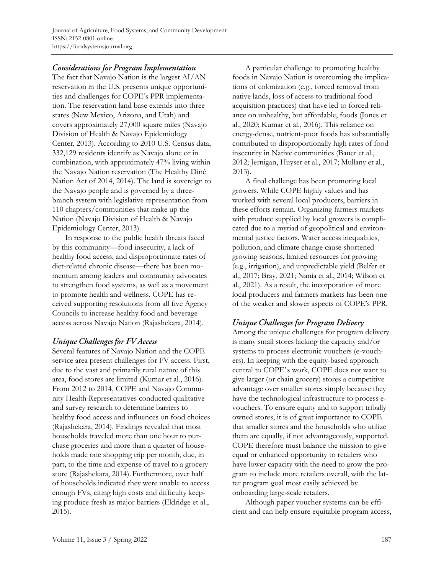# **Considerations for Program Implementation**

The fact that Navajo Nation is the largest AI/AN reservation in the U.S. presents unique opportunities and challenges for COPE's PPR implementation. The reservation land base extends into three states (New Mexico, Arizona, and Utah) and covers approximately 27,000 square miles (Navajo Division of Health & Navajo Epidemiology Center, 2013). According to 2010 U.S. Census data, 332,129 residents identify as Navajo alone or in combination, with approximately 47% living within the Navajo Nation reservation (The Healthy Diné Nation Act of 2014, 2014). The land is sovereign to the Navajo people and is governed by a threebranch system with legislative representation from 110 chapters/communities that make up the Nation (Navajo Division of Health & Navajo Epidemiology Center, 2013).

In response to the public health threats faced by this community—food insecurity, a lack of healthy food access, and disproportionate rates of diet-related chronic disease—there has been momentum among leaders and community advocates to strengthen food systems, as well as a movement to promote health and wellness. COPE has received supporting resolutions from all five Agency Councils to increase healthy food and beverage access across Navajo Nation (Rajashekara, 2014).

# Unique Challenges for FV Access

Several features of Navajo Nation and the COPE service area present challenges for FV access. First, due to the vast and primarily rural nature of this area, food stores are limited (Kumar et al., 2016). From 2012 to 2014, COPE and Navajo Community Health Representatives conducted qualitative and survey research to determine barriers to healthy food access and influences on food choices (Rajashekara, 2014). Findings revealed that most households traveled more than one hour to purchase groceries and more than a quarter of households made one shopping trip per month, due, in part, to the time and expense of travel to a grocery store (Rajashekara, 2014). Furthermore, over half of households indicated they were unable to access enough FVs, citing high costs and difficulty keeping produce fresh as major barriers (Eldridge et al., 2015).

A particular challenge to promoting healthy foods in Navajo Nation is overcoming the implications of colonization (e.g., forced removal from native lands, loss of access to traditional food acquisition practices) that have led to forced reliance on unhealthy, but affordable, foods (Jones et al., 2020; Kumar et al., 2016). This reliance on energy-dense, nutrient-poor foods has substantially contributed to disproportionally high rates of food insecurity in Native communities (Bauer et al., 2012; Jernigan, Huyser et al., 2017; Mullany et al., 2013).

A final challenge has been promoting local growers. While COPE highly values and has worked with several local producers, barriers in these efforts remain. Organizing farmers markets with produce supplied by local growers is complicated due to a myriad of geopolitical and environmental justice factors. Water access inequalities, pollution, and climate change cause shortened growing seasons, limited resources for growing (e.g., irrigation), and unpredictable yield (Belfer et al., 2017; Bray, 2021; Nania et al., 2014; Wilson et al., 2021). As a result, the incorporation of more local producers and farmers markets has been one of the weaker and slower aspects of COPE's PPR.

# Unique Challenges for Program Delivery

Among the unique challenges for program delivery is many small stores lacking the capacity and/or systems to process electronic vouchers (e-vouchers). In keeping with the equity-based approach central to COPE's work, COPE does not want to give larger (or chain grocery) stores a competitive advantage over smaller stores simply because they have the technological infrastructure to process evouchers. To ensure equity and to support tribally owned stores, it is of great importance to COPE that smaller stores and the households who utilize them are equally, if not advantageously, supported. COPE therefore must balance the mission to give equal or enhanced opportunity to retailers who have lower capacity with the need to grow the program to include more retailers overall, with the latter program goal most easily achieved by onboarding large-scale retailers.

Although paper voucher systems can be efficient and can help ensure equitable program access,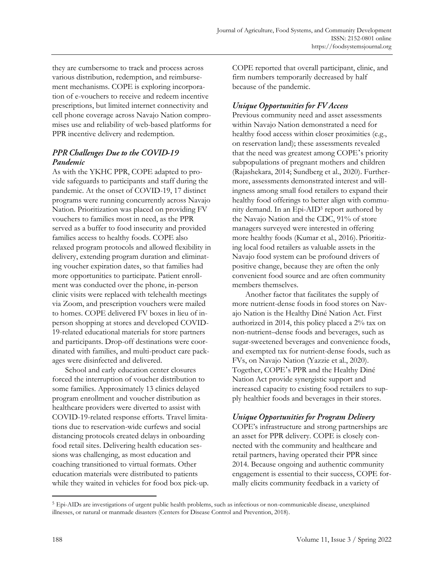they are cumbersome to track and process across various distribution, redemption, and reimbursement mechanisms. COPE is exploring incorporation of e-vouchers to receive and redeem incentive prescriptions, but limited internet connectivity and cell phone coverage across Navajo Nation compromises use and reliability of web-based platforms for PPR incentive delivery and redemption.

# **PPR Challenges Due to the COVID-19** Pandemic

As with the YKHC PPR, COPE adapted to provide safeguards to participants and staff during the pandemic. At the onset of COVID-19, 17 distinct programs were running concurrently across Navajo Nation. Prioritization was placed on providing FV vouchers to families most in need, as the PPR served as a buffer to food insecurity and provided families access to healthy foods. COPE also relaxed program protocols and allowed flexibility in delivery, extending program duration and eliminating voucher expiration dates, so that families had more opportunities to participate. Patient enrollment was conducted over the phone, in-person clinic visits were replaced with telehealth meetings via Zoom, and prescription vouchers were mailed to homes. COPE delivered FV boxes in lieu of inperson shopping at stores and developed COVID-19-related educational materials for store partners and participants. Drop-off destinations were coordinated with families, and multi-product care packages were disinfected and delivered.

School and early education center closures forced the interruption of voucher distribution to some families. Approximately 13 clinics delayed program enrollment and voucher distribution as healthcare providers were diverted to assist with COVID-19-related response efforts. Travel limitations due to reservation-wide curfews and social distancing protocols created delays in onboarding food retail sites. Delivering health education sessions was challenging, as most education and coaching transitioned to virtual formats. Other education materials were distributed to patients while they waited in vehicles for food box pick-up. COPE reported that overall participant, clinic, and firm numbers temporarily decreased by half because of the pandemic.

# **Unique Opportunities for FV Access**

Previous community need and asset assessments within Navajo Nation demonstrated a need for healthy food access within closer proximities (e.g., on reservation land); these assessments revealed that the need was greatest among COPE 's priority subpopulations of pregnant mothers and children (Rajashekara, 2014; Sundberg et al., 2020). Furthermore, assessments demonstrated interest and willingness among small food retailers to expand their healthy food offerings to better align with community demand. In an Epi-AID<sup>5</sup> report authored by the Navajo Nation and the CDC, 91% of store managers surveyed were interested in offering more healthy foods (Kumar et al., 2016). Prioritizing local food retailers as valuable assets in the Navajo food system can be profound drivers of positive change, because they are often the only convenient food source and are often community members themselves.

Another factor that facilitates the supply of more nutrient-dense foods in food stores on Navajo Nation is the Healthy Diné Nation Act. First authorized in 2014, this policy placed a 2% tax on non-nutrient–dense foods and beverages, such as sugar-sweetened beverages and convenience foods, and exempted tax for nutrient-dense foods, such as FVs, on Navajo Nation (Yazzie et al., 2020). Together, COPE's PPR and the Healthy Diné Nation Act provide synergistic support and increased capacity to existing food retailers to supply healthier foods and beverages in their stores.

# Unique Opportunities for Program Delivery

COPE's infrastructure and strong partnerships are an asset for PPR delivery. COPE is closely connected with the community and healthcare and retail partners, having operated their PPR since 2014. Because ongoing and authentic community engagement is essential to their success, COPE formally elicits community feedback in a variety of

<sup>5</sup> Epi-AIDs are investigations of urgent public health problems, such as infectious or non-communicable disease, unexplained illnesses, or natural or manmade disasters (Centers for Disease Control and Prevention, 2018).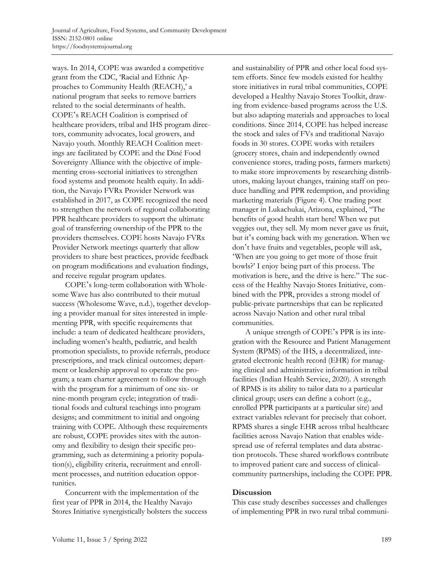ways. In 2014, COPE was awarded a competitive grant from the CDC, 'Racial and Ethnic Approaches to Community Health (REACH),' a national program that seeks to remove barriers related to the social determinants of health. COPE's REACH Coalition is comprised of healthcare providers, tribal and IHS program directors, community advocates, local growers, and Navajo youth. Monthly REACH Coalition meetings are facilitated by COPE and the Diné Food Sovereignty Alliance with the objective of implementing cross-sectorial initiatives to strengthen food systems and promote health equity. In addition, the Navajo FVRx Provider Network was established in 2017, as COPE recognized the need to strengthen the network of regional collaborating PPR healthcare providers to support the ultimate goal of transferring ownership of the PPR to the providers themselves. COPE hosts Navajo FVRx Provider Network meetings quarterly that allow providers to share best practices, provide feedback on program modifications and evaluation findings, and receive regular program updates.

COPE's long-term collaboration with Wholesome Wave has also contributed to their mutual success (Wholesome Wave, n.d.), together developing a provider manual for sites interested in implementing PPR, with specific requirements that include: a team of dedicated healthcare providers, including women's health, pediatric, and health promotion specialists, to provide referrals, produce prescriptions, and track clinical outcomes; department or leadership approval to operate the program; a team charter agreement to follow through with the program for a minimum of one six- or nine-month program cycle; integration of traditional foods and cultural teachings into program designs; and commitment to initial and ongoing training with COPE. Although these requirements are robust, COPE provides sites with the autonomy and flexibility to design their specific programming, such as determining a priority population(s), eligibility criteria, recruitment and enrollment processes, and nutrition education opportunities.

Concurrent with the implementation of the first year of PPR in 2014, the Healthy Navajo Stores Initiative synergistically bolsters the success and sustainability of PPR and other local food system efforts. Since few models existed for healthy store initiatives in rural tribal communities, COPE developed a Healthy Navajo Stores Toolkit, drawing from evidence-based programs across the U.S. but also adapting materials and approaches to local conditions. Since 2014, COPE has helped increase the stock and sales of FVs and traditional Navajo foods in 30 stores. COPE works with retailers (grocery stores, chain and independently owned convenience stores, trading posts, farmers markets) to make store improvements by researching distributors, making layout changes, training staff on produce handling and PPR redemption, and providing marketing materials (Figure 4). One trading post manager in Lukachukai, Arizona, explained, "The benefits of good health start here! When we put veggies out, they sell. My mom never gave us fruit, but it's coming back with my generation. When we don't have fruits and vegetables, people will ask, 'When are you going to get more of those fruit bowls?' I enjoy being part of this process. The motivation is here, and the drive is here." The success of the Healthy Navajo Stores Initiative, combined with the PPR, provides a strong model of public-private partnerships that can be replicated across Navajo Nation and other rural tribal communities.

A unique strength of COPE's PPR is its integration with the Resource and Patient Management System (RPMS) of the IHS, a decentralized, integrated electronic health record (EHR) for managing clinical and administrative information in tribal facilities (Indian Health Service, 2020). A strength of RPMS is its ability to tailor data to a particular clinical group; users can define a cohort (e.g., enrolled PPR participants at a particular site) and extract variables relevant for precisely that cohort. RPMS shares a single EHR across tribal healthcare facilities across Navajo Nation that enables widespread use of referral templates and data abstraction protocols. These shared workflows contribute to improved patient care and success of clinicalcommunity partnerships, including the COPE PPR.

#### **Discussion**

This case study describes successes and challenges of implementing PPR in two rural tribal communi-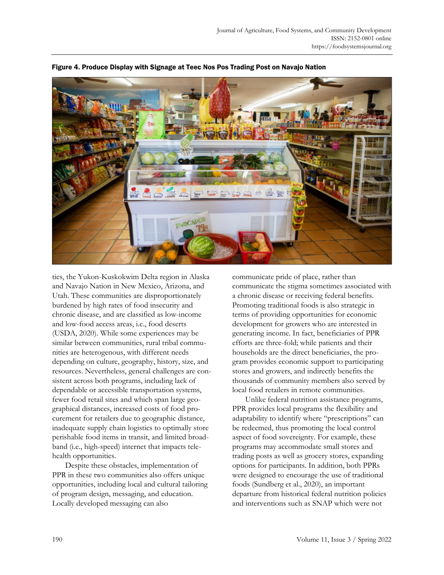

Figure 4. Produce Display with Signage at Teec Nos Pos Trading Post on Navajo Nation

ties, the Yukon-Kuskokwim Delta region in Alaska and Navajo Nation in New Mexico, Arizona, and Utah. These communities are disproportionately burdened by high rates of food insecurity and chronic disease, and are classified as low-income and low-food access areas, i.e., food deserts (USDA, 2020). While some experiences may be similar between communities, rural tribal communities are heterogenous, with different needs depending on culture, geography, history, size, and resources. Nevertheless, general challenges are consistent across both programs, including lack of dependable or accessible transportation systems, fewer food retail sites and which span large geographical distances, increased costs of food procurement for retailers due to geographic distance, inadequate supply chain logistics to optimally store perishable food items in transit, and limited broadband (i.e., high-speed) internet that impacts telehealth opportunities.

Despite these obstacles, implementation of PPR in these two communities also offers unique opportunities, including local and cultural tailoring of program design, messaging, and education. Locally developed messaging can also

communicate pride of place, rather than communicate the stigma sometimes associated with a chronic disease or receiving federal benefits. Promoting traditional foods is also strategic in terms of providing opportunities for economic development for growers who are interested in generating income. In fact, beneficiaries of PPR efforts are three-fold; while patients and their households are the direct beneficiaries, the program provides economic support to participating stores and growers, and indirectly benefits the thousands of community members also served by local food retailers in remote communities.

Unlike federal nutrition assistance programs, PPR provides local programs the flexibility and adaptability to identify where "prescriptions" can be redeemed, thus promoting the local control aspect of food sovereignty. For example, these programs may accommodate small stores and trading posts as well as grocery stores, expanding options for participants. In addition, both PPRs were designed to encourage the use of traditional foods (Sundberg et al., 2020), an important departure from historical federal nutrition policies and interventions such as SNAP which were not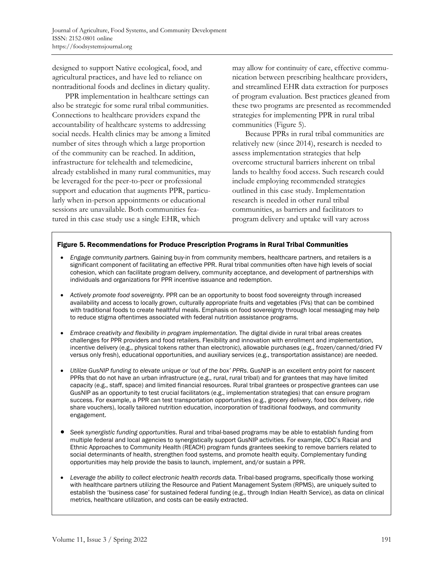designed to support Native ecological, food, and agricultural practices, and have led to reliance on nontraditional foods and declines in dietary quality.

PPR implementation in healthcare settings can also be strategic for some rural tribal communities. Connections to healthcare providers expand the accountability of healthcare systems to addressing social needs. Health clinics may be among a limited number of sites through which a large proportion of the community can be reached. In addition, infrastructure for telehealth and telemedicine, already established in many rural communities, may be leveraged for the peer-to-peer or professional support and education that augments PPR, particularly when in-person appointments or educational sessions are unavailable. Both communities featured in this case study use a single EHR, which

may allow for continuity of care, effective communication between prescribing healthcare providers, and streamlined EHR data extraction for purposes of program evaluation. Best practices gleaned from these two programs are presented as recommended strategies for implementing PPR in rural tribal communities (Figure 5).

Because PPRs in rural tribal communities are relatively new (since 2014), research is needed to assess implementation strategies that help overcome structural barriers inherent on tribal lands to healthy food access. Such research could include employing recommended strategies outlined in this case study. Implementation research is needed in other rural tribal communities, as barriers and facilitators to program delivery and uptake will vary across

#### Figure 5. Recommendations for Produce Prescription Programs in Rural Tribal Communities

- *Engage community partners.* Gaining buy-in from community members, healthcare partners, and retailers is a significant component of facilitating an effective PPR. Rural tribal communities often have high levels of social cohesion, which can facilitate program delivery, community acceptance, and development of partnerships with individuals and organizations for PPR incentive issuance and redemption.
- *Actively promote food sovereignty.* PPR can be an opportunity to boost food sovereignty through increased availability and access to locally grown, culturally appropriate fruits and vegetables (FVs) that can be combined with traditional foods to create healthful meals. Emphasis on food sovereignty through local messaging may help to reduce stigma oftentimes associated with federal nutrition assistance programs.
- *Embrace creativity and flexibility in program implementation.* The digital divide in rural tribal areas creates challenges for PPR providers and food retailers. Flexibility and innovation with enrollment and implementation, incentive delivery (e.g., physical tokens rather than electronic), allowable purchases (e.g., frozen/canned/dried FV versus only fresh), educational opportunities, and auxiliary services (e.g., transportation assistance) are needed.
- *Utilize GusNIP funding to elevate unique or 'out of the box' PPRs*. GusNIP is an excellent entry point for nascent PPRs that do not have an urban infrastructure (e.g., rural, rural tribal) and for grantees that may have limited capacity (e.g., staff, space) and limited financial resources. Rural tribal grantees or prospective grantees can use GusNIP as an opportunity to test crucial facilitators (e.g., implementation strategies) that can ensure program success. For example, a PPR can test transportation opportunities (e.g., grocery delivery, food box delivery, ride share vouchers), locally tailored nutrition education, incorporation of traditional foodways, and community engagement.
- *Seek synergistic funding opportunities*. Rural and tribal-based programs may be able to establish funding from multiple federal and local agencies to synergistically support GusNIP activities. For example, CDC's Racial and Ethnic Approaches to Community Health (REACH) program funds grantees seeking to remove barriers related to social determinants of health, strengthen food systems, and promote health equity. Complementary funding opportunities may help provide the basis to launch, implement, and/or sustain a PPR.
- *Leverage the ability to collect electronic health records data.* Tribal-based programs, specifically those working with healthcare partners utilizing the Resource and Patient Management System (RPMS), are uniquely suited to establish the 'business case' for sustained federal funding (e.g., through Indian Health Service), as data on clinical metrics, healthcare utilization, and costs can be easily extracted.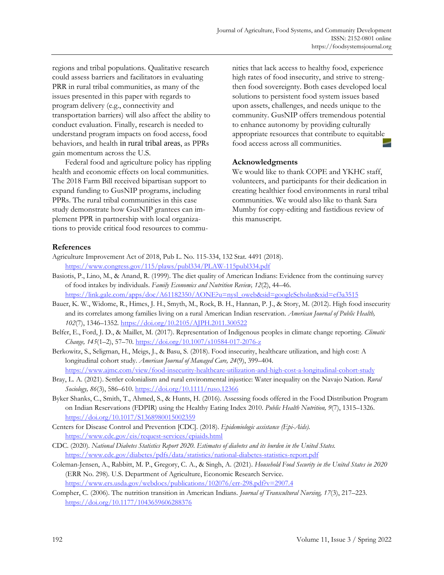regions and tribal populations. Qualitative research could assess barriers and facilitators in evaluating PRR in rural tribal communities, as many of the issues presented in this paper with regards to program delivery (e.g., connectivity and transportation barriers) will also affect the ability to conduct evaluation. Finally, research is needed to understand program impacts on food access, food behaviors, and health in rural tribal areas, as PPRs gain momentum across the U.S.

Federal food and agriculture policy has rippling health and economic effects on local communities. The 2018 Farm Bill received bipartisan support to expand funding to GusNIP programs, including PPRs. The rural tribal communities in this case study demonstrate how GusNIP grantees can implement PPR in partnership with local organizations to provide critical food resources to communities that lack access to healthy food, experience high rates of food insecurity, and strive to strengthen food sovereignty. Both cases developed local solutions to persistent food system issues based upon assets, challenges, and needs unique to the community. GusNIP offers tremendous potential to enhance autonomy by providing culturally appropriate resources that contribute to equitable food access across all communities.

#### **Acknowledgments**

We would like to thank COPE and YKHC staff, volunteers, and participants for their dedication in creating healthier food environments in rural tribal communities. We would also like to thank Sara Mumby for copy-editing and fastidious review of this manuscript.

#### **References**

- Agriculture Improvement Act of 2018, Pub L. No. 115-334, 132 Stat. 4491 (2018). <https://www.congress.gov/115/plaws/publ334/PLAW-115publ334.pdf>
- Basiotis, P., Lino, M., & Anand, R. (1999). The diet quality of American Indians: Evidence from the continuing survey of food intakes by individuals. *Family Economics and Nutrition Review, 12*(2), 44–46. [https://link.gale.com/apps/doc/A61182350/AONE?u=nysl\\_oweb&sid=googleScholar&xid=ef3a3515](https://link.gale.com/apps/doc/A61182350/AONE?u=nysl_oweb&sid=googleScholar&xid=ef3a3515)
- Bauer, K. W., Widome, R., Himes, J. H., Smyth, M., Rock, B. H., Hannan, P. J., & Story, M. (2012). High food insecurity and its correlates among families living on a rural American Indian reservation. *American Journal of Public Health, 102*(7), 1346–1352.<https://doi.org/10.2105/AJPH.2011.300522>
- Belfer, E., Ford, J. D., & Maillet, M. (2017). Representation of Indigenous peoples in climate change reporting. *Climatic Change, 145*(1–2), 57–70.<https://doi.org/10.1007/s10584-017-2076-z>
- Berkowitz, S., Seligman, H., Meigs, J., & Basu, S. (2018). Food insecurity, healthcare utilization, and high cost: A longitudinal cohort study. *American Journal of Managed Care, 24*(9), 399–404.

<https://www.ajmc.com/view/food-insecurity-healthcare-utilization-and-high-cost-a-longitudinal-cohort-study>

- Bray, L. A. (2021). Settler colonialism and rural environmental injustice: Water inequality on the Navajo Nation. *Rural Sociology, 86*(3), 586–610.<https://doi.org/10.1111/ruso.12366>
- Byker Shanks, C., Smith, T., Ahmed, S., & Hunts, H. (2016). Assessing foods offered in the Food Distribution Program on Indian Reservations (FDPIR) using the Healthy Eating Index 2010. *Public Health Nutrition, 9*(7), 1315–1326. <https://doi.org/10.1017/S1368980015002359>
- Centers for Disease Control and Prevention [CDC]. (2018). *Epidemiologic assistance (Epi-Aids)*. <https://www.cdc.gov/eis/request-services/epiaids.html>
- CDC. (2020). *National Diabetes Statistics Report 2020. Estimates of diabetes and its burden in the United States.* <https://www.cdc.gov/diabetes/pdfs/data/statistics/national-diabetes-statistics-report.pdf>
- Coleman-Jensen, A., Rabbitt, M. P., Gregory, C. A., & Singh, A. (2021). *Household Food Security in the United States in 2020* (ERR No. 298). U.S. Department of Agriculture, Economic Research Service. <https://www.ers.usda.gov/webdocs/publications/102076/err-298.pdf?v=2907.4>
- Compher, C. (2006). The nutrition transition in American Indians. *Journal of Transcultural Nursing, 17*(3), 217–223. <https://doi.org/10.1177/1043659606288376>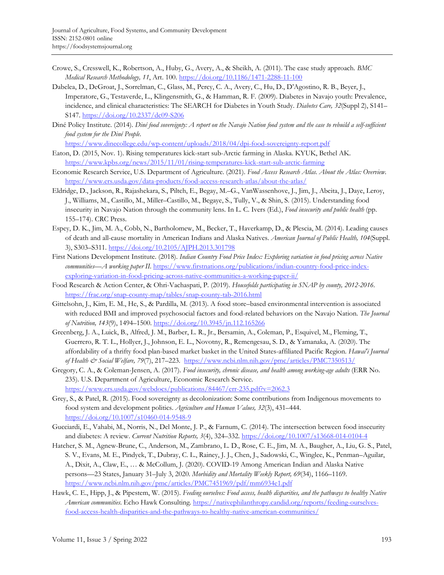- Crowe, S., Cresswell, K., Robertson, A., Huby, G., Avery, A., & Sheikh, A. (2011). The case study approach. *BMC Medical Research Methodology, 11*, Art. 100.<https://doi.org/10.1186/1471-2288-11-100>
- Dabelea, D., DeGroat, J., Sorrelman, C., Glass, M., Percy, C. A., Avery, C., Hu, D., D'Agostino, R. B., Beyer, J., Imperatore, G., Testaverde, L., Klingensmith, G., & Hamman, R. F. (2009). Diabetes in Navajo youth: Prevalence, incidence, and clinical characteristics: The SEARCH for Diabetes in Youth Study. *Diabetes Care, 32*(Suppl 2), S141– S147[. https://doi.org/10.2337/dc09-S206](https://doi.org/10.2337/dc09-S206)

Diné Policy Institute. (2014). *Diné food sovereignty: A report on the Navajo Nation food system and the case to rebuild a self-sufficient food system for the Diné People.*

<https://www.dinecollege.edu/wp-content/uploads/2018/04/dpi-food-sovereignty-report.pdf>

- Eaton, D. (2015, Nov. 1). Rising temperatures kick-start sub-Arctic farming in Alaska. KYUK, Bethel AK. <https://www.kpbs.org/news/2015/11/01/rising-temperatures-kick-start-sub-arctic-farming>
- Economic Research Service, U.S. Department of Agriculture. (2021). *Food Access Research Atlas. About the Atlas: Overview*. <https://www.ers.usda.gov/data-products/food-access-research-atlas/about-the-atlas/>
- Eldridge, D., Jackson, R., Rajashekara, S., Piltch, E., Begay, M.–G., VanWassenhove, J., Jim, J., Abeita, J., Daye, Leroy, J., Williams, M., Castillo, M., Miller–Castillo, M., Begaye, S., Tully, V., & Shin, S. (2015). Understanding food insecurity in Navajo Nation through the community lens. In L. C. Ivers (Ed.), *Food insecurity and public health* (pp. 155–174). CRC Press.
- Espey, D. K., Jim, M. A., Cobb, N., Bartholomew, M., Becker, T., Haverkamp, D., & Plescia, M. (2014). Leading causes of death and all-cause mortality in American Indians and Alaska Natives. *American Journal of Public Health, 104*(Suppl. 3), S303–S311[. https://doi.org/10.2105/AJPH.2013.301798](https://doi.org/10.2105/AJPH.2013.301798)
- First Nations Development Institute. (2018). *Indian Country Food Price Index: Exploring variation in food pricing across Native communities—A working paper II*. [https://www.firstnations.org/publications/indian-country-food-price-index](https://www.firstnations.org/publications/indian-country-food-price-index-exploring-variation-in-food-pricing-across-native-communities-a-working-paper-ii/)[exploring-variation-in-food-pricing-across-native-communities-a-working-paper-ii/](https://www.firstnations.org/publications/indian-country-food-price-index-exploring-variation-in-food-pricing-across-native-communities-a-working-paper-ii/)
- Food Research & Action Center, & Ohri-Vachaspati, P. (2019). *Housefolds participating in SNAP by county, 2012-2016.* <https://frac.org/snap-county-map/tables/snap-county-tab-2016.html>
- Gittelsohn, J., Kim, E. M., He, S., & Pardilla, M. (2013). A food store–based environmental intervention is associated with reduced BMI and improved psychosocial factors and food-related behaviors on the Navajo Nation. *The Journal of Nutrition, 143*(9), 1494–1500.<https://doi.org/10.3945/jn.112.165266>
- Greenberg, J. A., Luick, B., Alfred, J. M., Barber, L. R., Jr., Bersamin, A., Coleman, P., Esquivel, M., Fleming, T., Guerrero, R. T. L., Hollyer, J., Johnson, E. L., Novotny, R., Remengesau, S. D., & Yamanaka, A. (2020). The affordability of a thrifty food plan-based market basket in the United States-affiliated Pacific Region. *Hawai'i Journal of Health & Social Welfare, 79*(7), 217–223. <https://www.ncbi.nlm.nih.gov/pmc/articles/PMC7350513/>
- Gregory, C. A., & Coleman-Jensen, A. (2017). *Food insecurity, chronic disease, and health among working-age adults* (ERR No. 235). U.S. Department of Agriculture, Economic Research Service. <https://www.ers.usda.gov/webdocs/publications/84467/err-235.pdf?v=2062.3>
- Grey, S., & Patel, R. (2015). Food sovereignty as decolonization: Some contributions from Indigenous movements to food system and development politics. *Agriculture and Human Values, 32*(3), 431–444. <https://doi.org/10.1007/s10460-014-9548-9>
- Gucciardi, E., Vahabi, M., Norris, N., Del Monte, J. P., & Farnum, C. (2014). The intersection between food insecurity and diabetes: A review. *Current Nutrition Reports, 3*(4), 324–332.<https://doi.org/10.1007/s13668-014-0104-4>
- Hatcher, S. M., Agnew-Brune, C., Anderson, M., Zambrano, L. D., Rose, C. E., Jim, M. A., Baugher, A., Liu, G. S., Patel, S. V., Evans, M. E., Pindyck, T., Dubray, C. L., Rainey, J. J., Chen, J., Sadowski, C., Winglee, K., Penman–Aguilar, A., Dixit, A., Claw, E., … & McCollum, J. (2020). COVID-19 Among American Indian and Alaska Native persons—23 States, January 31–July 3, 2020. *Morbidity and Mortality Weekly Report, 69*(34), 1166–1169. <https://www.ncbi.nlm.nih.gov/pmc/articles/PMC7451969/pdf/mm6934e1.pdf>
- Hawk, C. E., Hipp, J., & Pipestem, W. (2015). *Feeding ourselves: Food access, health disparities, and the pathways to healthy Native American communities*. Echo Hawk Consulting. [https://nativephilanthropy.candid.org/reports/feeding-ourselves](https://nativephilanthropy.candid.org/reports/feeding-ourselves-food-access-health-disparities-and-the-pathways-to-healthy-native-american-communities/)[food-access-health-disparities-and-the-pathways-to-healthy-native-american-communities/](https://nativephilanthropy.candid.org/reports/feeding-ourselves-food-access-health-disparities-and-the-pathways-to-healthy-native-american-communities/)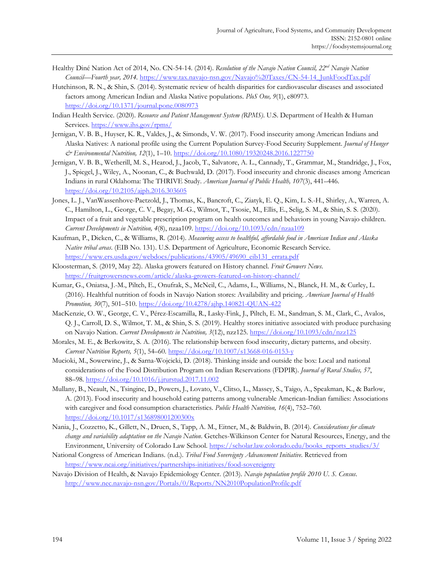- Healthy Diné Nation Act of 2014, No. CN-54-14. (2014). *Resolution of the Navajo Nation Council, 22nd Navajo Nation Council—Fourth year, 2014.* [https://www.tax.navajo-nsn.gov/Navajo%20Taxes/CN-54-14\\_JunkFoodTax.pdf](https://www.tax.navajo-nsn.gov/Navajo%20Taxes/CN-54-14_JunkFoodTax.pdf)
- Hutchinson, R. N., & Shin, S. (2014). Systematic review of health disparities for cardiovascular diseases and associated factors among American Indian and Alaska Native populations. *PloS One, 9*(1), e80973. <https://doi.org/10.1371/journal.pone.0080973>
- Indian Health Service. (2020). *Resource and Patient Management System (RPMS)*. U.S. Department of Health & Human Services. <https://www.ihs.gov/rpms/>
- Jernigan, V. B. B., Huyser, K. R., Valdes, J., & Simonds, V. W. (2017). Food insecurity among American Indians and Alaska Natives: A national profile using the Current Population Survey-Food Security Supplement. *Journal of Hunger & Environmental Nutrition, 12*(1), 1–10[. https://doi.org/10.1080/19320248.2016.1227750](https://doi.org/10.1080/19320248.2016.1227750)
- Jernigan, V. B. B., Wetherill, M. S., Hearod, J., Jacob, T., Salvatore, A. L., Cannady, T., Grammar, M., Standridge, J., Fox, J., Spiegel, J., Wiley, A., Noonan, C., & Buchwald, D. (2017). Food insecurity and chronic diseases among American Indians in rural Oklahoma: The THRIVE Study. *American Journal of Public Health, 107*(3), 441–446. <https://doi.org/10.2105/ajph.2016.303605>
- Jones, L. J., VanWassenhove-Paetzold, J., Thomas, K., Bancroft, C., Ziatyk, E. Q., Kim, L. S.-H., Shirley, A., Warren, A. C., Hamilton, L., George, C. V., Begay, M.-G., Wilmot, T., Tsosie, M., Ellis, E., Selig, S. M., & Shin, S. S. (2020). Impact of a fruit and vegetable prescription program on health outcomes and behaviors in young Navajo children. *Current Developments in Nutrition, 4*(8), nzaa109.<https://doi.org/10.1093/cdn/nzaa109>
- Kaufman, P., Dicken, C., & Williams, R. (2014). *Measuring access to healthful, affordable food in American Indian and Alaska Native tribal areas*. (EIB No. 131). U.S. Department of Agriculture, Economic Research Service. [https://www.ers.usda.gov/webdocs/publications/43905/49690\\_eib131\\_errata.pdf](https://www.ers.usda.gov/webdocs/publications/43905/49690_eib131_errata.pdf)
- Kloosterman, S. (2019, May 22). Alaska growers featured on History channel. *Fruit Growers News*. <https://fruitgrowersnews.com/article/alaska-growers-featured-on-history-channel/>
- Kumar, G., Oniatsa, J.-M., Piltch, E., Onufrak, S., McNeil, C., Adams, L., Williams, N., Blanck, H. M., & Curley, L. (2016). Healthful nutrition of foods in Navajo Nation stores: Availability and pricing. *American Journal of Health Promotion, 30*(7), 501–510.<https://doi.org/10.4278/ajhp.140821-QUAN-422>
- MacKenzie, O. W., George, C. V., Pérez-Escamilla, R., Lasky-Fink, J., Piltch, E. M., Sandman, S. M., Clark, C., Avalos, Q. J., Carroll, D. S., Wilmot, T. M., & Shin, S. S. (2019). Healthy stores initiative associated with produce purchasing on Navajo Nation. *Current Developments in Nutrition, 3*(12), nzz125[. https://doi.org/10.1093/cdn/nzz125](https://doi.org/10.1093/cdn/nzz125)
- Morales, M. E., & Berkowitz, S. A. (2016). The relationship between food insecurity, dietary patterns, and obesity. *Current Nutrition Reports, 5*(1), 54–60.<https://doi.org/10.1007/s13668-016-0153-y>
- Mucioki, M., Sowerwine, J., & Sarna-Wojcicki, D. (2018). Thinking inside and outside the box: Local and national considerations of the Food Distribution Program on Indian Reservations (FDPIR). *Journal of Rural Studies, 57*, 88–98.<https://doi.org/10.1016/j.jrurstud.2017.11.002>
- Mullany, B., Neault, N., Tsingine, D., Powers, J., Lovato, V., Clitso, L., Massey, S., Taigo, A., Speakman, K., & Barlow, A. (2013). Food insecurity and household eating patterns among vulnerable American-Indian families: Associations with caregiver and food consumption characteristics. *Public Health Nutrition, 16*(4), 752–760. <https://doi.org/10.1017/s136898001200300x>
- Nania, J., Cozzetto, K., Gillett, N., Druen, S., Tapp, A. M., Eitner, M., & Baldwin, B. (2014). *Considerations for climate change and variability adaptation on the Navajo Nation*. Getches-Wilkinson Center for Natural Resources, Energy, and the Environment, University of Colorado Law School. [https://scholar.law.colorado.edu/books\\_reports\\_studies/3/](https://scholar.law.colorado.edu/books_reports_studies/3/)
- National Congress of American Indians. (n.d.). *Tribal Food Sovereignty Advancement Initiative*. Retrieved from <https://www.ncai.org/initiatives/partnerships-initiatives/food-sovereignty>
- Navajo Division of Health, & Navajo Epidemiology Center. (2013). *Navajo population profile 2010 U. S. Census*. <http://www.nec.navajo-nsn.gov/Portals/0/Reports/NN2010PopulationProfile.pdf>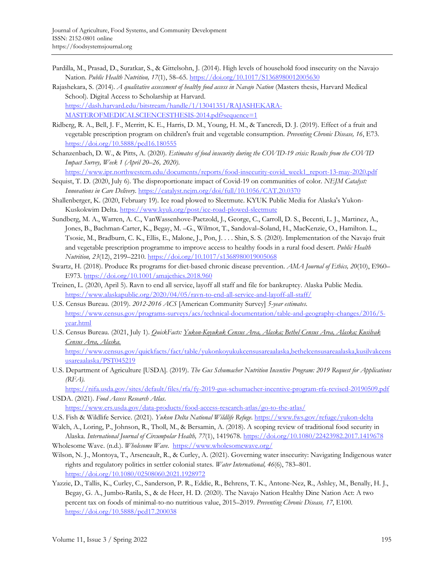- Pardilla, M., Prasad, D., Suratkar, S., & Gittelsohn, J. (2014). High levels of household food insecurity on the Navajo Nation. *Public Health Nutrition, 17*(1), 58–65[. https://doi.org/10.1017/S1368980012005630](https://doi.org/10.1017/S1368980012005630)
- Rajashekara, S. (2014). *A qualitative assessment of healthy food access in Navajo Nation* (Masters thesis, Harvard Medical School). Digital Access to Scholarship at Harvard. [https://dash.harvard.edu/bitstream/handle/1/13041351/RAJASHEKARA-](https://dash.harvard.edu/bitstream/handle/1/13041351/RAJASHEKARA-MASTEROFMEDICALSCIENCESTHESIS-2014.pdf?sequence=1)[MASTEROFMEDICALSCIENCESTHESIS-2014.pdf?sequence=1](https://dash.harvard.edu/bitstream/handle/1/13041351/RAJASHEKARA-MASTEROFMEDICALSCIENCESTHESIS-2014.pdf?sequence=1)
- Ridberg, R. A., Bell, J. F., Merritt, K. E., Harris, D. M., Young, H. M., & Tancredi, D. J. (2019). Effect of a fruit and vegetable prescription program on children's fruit and vegetable consumption. *Preventing Chronic Disease, 16*, E73. <https://doi.org/10.5888/pcd16.180555>
- Schanzenbach, D. W., & Pitts, A. (2020). *Estimates of food insecurity during the COVID-19 crisis: Results from the COVID Impact Survey, Week 1 (April 20–26, 2020)*.

[https://www.ipr.northwestern.edu/documents/reports/food-insecurity-covid\\_week1\\_report-13-may-2020.pdf](https://www.ipr.northwestern.edu/documents/reports/food-insecurity-covid_week1_report-13-may-2020.pdf)

- Sequist, T. D. (2020, July 6). The disproportionate impact of Covid-19 on communities of color. *NEJM Catalyst: Innovations in Care Delivery*[. https://catalyst.nejm.org/doi/full/10.1056/CAT.20.0370](https://catalyst.nejm.org/doi/full/10.1056/CAT.20.0370)
- Shallenberger, K. (2020, February 19). Ice road plowed to Sleetmute. KYUK Public Media for Alaska's Yukon-Kuskokwim Delta.<https://www.kyuk.org/post/ice-road-plowed-sleetmute>
- Sundberg, M. A., Warren, A. C., VanWassenhove-Paetzold, J., George, C., Carroll, D. S., Becenti, L. J., Martinez, A., Jones, B., Bachman-Carter, K., Begay, M. –G., Wilmot, T., Sandoval–Soland, H., MacKenzie, O., Hamilton. L., Tsosie, M., Bradburn, C. K., Ellis, E., Malone, J., Pon, J. . . . Shin, S. S. (2020). Implementation of the Navajo fruit and vegetable prescription programme to improve access to healthy foods in a rural food desert. *Public Health Nutrition, 23*(12), 2199–2210[. https://doi.org/10.1017/s1368980019005068](https://doi.org/10.1017/s1368980019005068)
- Swartz, H. (2018). Produce Rx programs for diet-based chronic disease prevention. *AMA Journal of Ethics, 20*(10), E960– E973.<https://doi.org/10.1001/amajethics.2018.960>
- Treinen, L. (2020, April 5). Ravn to end all service, layoff all staff and file for bankruptcy. Alaska Public Media. <https://www.alaskapublic.org/2020/04/05/ravn-to-end-all-service-and-layoff-all-staff/>
- U.S. Census Bureau. (2019). *2012-2016 ACS* [American Community Survey] *5-year estimates*. [https://www.census.gov/programs-surveys/acs/technical-documentation/table-and-geography-changes/2016/5](https://www.census.gov/programs-surveys/acs/technical-documentation/table-and-geography-changes/2016/5-year.html) [year.html](https://www.census.gov/programs-surveys/acs/technical-documentation/table-and-geography-changes/2016/5-year.html)
- U.S. Census Bureau. (2021, July 1). *QuickFacts: Yukon-Koyukuk Census Area, Alaska; Bethel Census Area, Alaska; Kusilvak Census Area, Alaska.*

[https://www.census.gov/quickfacts/fact/table/yukonkoyukukcensusareaalaska,bethelcensusareaalaska,kusilvakcens](https://www.census.gov/quickfacts/fact/table/yukonkoyukukcensusareaalaska,bethelcensusareaalaska,kusilvakcensusareaalaska/PST045219) [usareaalaska/PST045219](https://www.census.gov/quickfacts/fact/table/yukonkoyukukcensusareaalaska,bethelcensusareaalaska,kusilvakcensusareaalaska/PST045219)

U.S. Department of Agriculture [USDA]. (2019). *The Gus Schumacher Nutrition Incentive Program: 2019 Request for Applications (RFA).*

<https://nifa.usda.gov/sites/default/files/rfa/fy-2019-gus-schumacher-incentive-program-rfa-revised-20190509.pdf> USDA. (2021). *Food Access Research Atlas*.

<https://www.ers.usda.gov/data-products/food-access-research-atlas/go-to-the-atlas/>

- U.S. Fish & Wildlife Service. (2021). *Yukon Delta National Wildlife Refuge*. <https://www.fws.gov/refuge/yukon-delta>
- Walch, A., Loring, P., Johnson, R., Tholl, M., & Bersamin, A. (2018). A scoping review of traditional food security in Alaska. *International Journal of Circumpolar Health, 77*(1), 1419678[. https://doi.org/10.1080/22423982.2017.1419678](https://doi.org/10.1080/22423982.2017.1419678)
- Wholesome Wave. (n.d.). *Wholesome Wave*. <https://www.wholesomewave.org/>
- Wilson, N. J., Montoya, T., Arseneault, R., & Curley, A. (2021). Governing water insecurity: Navigating Indigenous water rights and regulatory politics in settler colonial states. *Water International, 46*(6), 783–801. <https://doi.org/10.1080/02508060.2021.1928972>
- Yazzie, D., Tallis, K., Curley, C., Sanderson, P. R., Eddie, R., Behrens, T. K., Antone-Nez, R., Ashley, M., Benally, H. J., Begay, G. A., Jumbo-Ratila, S., & de Heer, H. D. (2020). The Navajo Nation Healthy Dine Nation Act: A two percent tax on foods of minimal-to-no nutritious value, 2015–2019. *Preventing Chronic Disease, 17*, E100. <https://doi.org/10.5888/pcd17.200038>